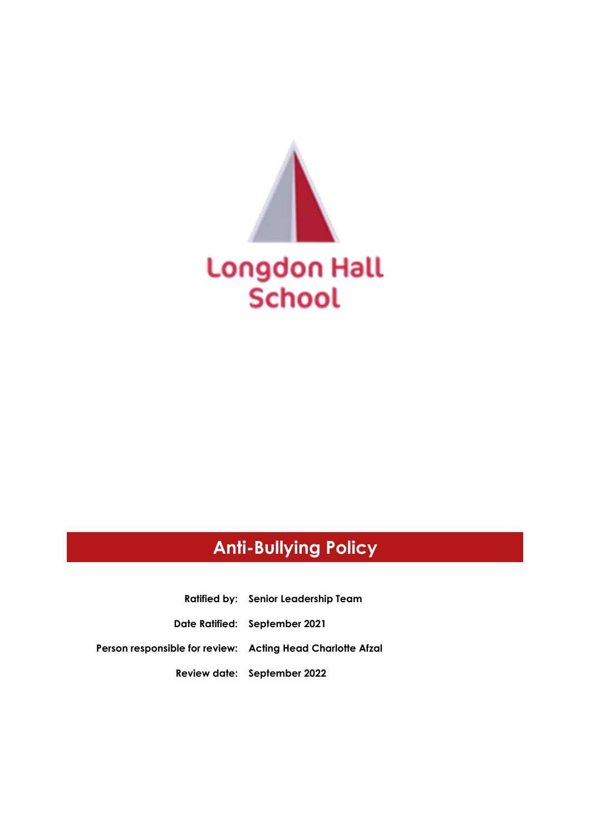

# **Anti-Bullying Policy**

**Ratified by: Senior Leadership Team Date Ratified: September 2021 Person responsible for review: Acting Head Charlotte Afzal Review date: September 2022**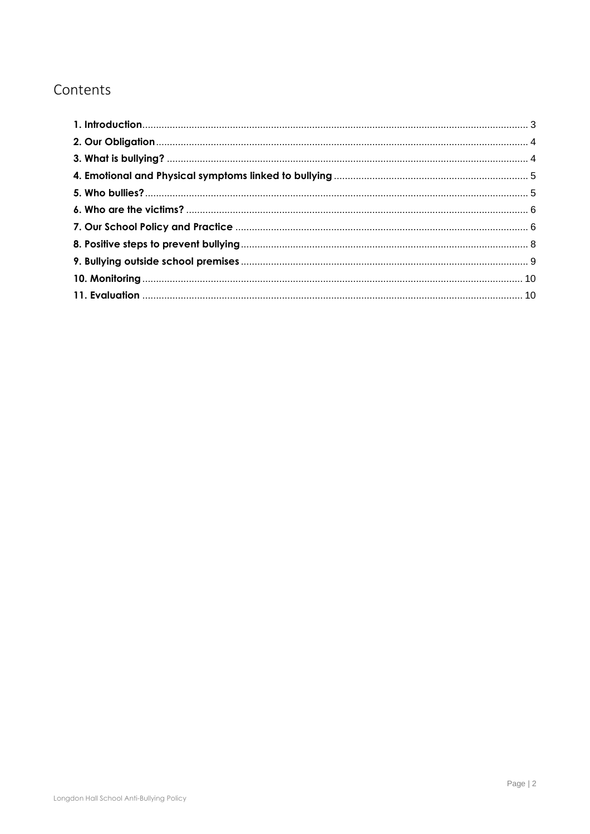# Contents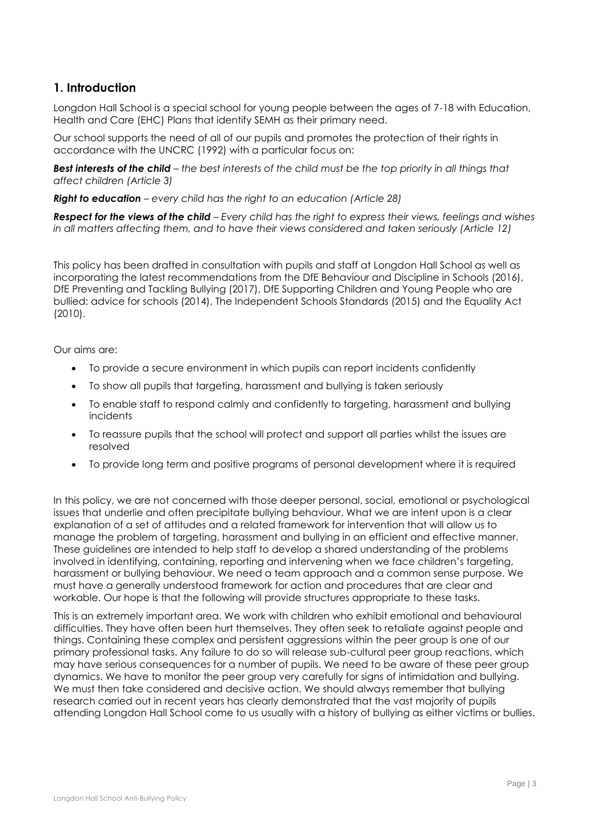### <span id="page-2-0"></span>**1. Introduction**

Longdon Hall School is a special school for young people between the ages of 7-18 with Education, Health and Care (EHC) Plans that identify SEMH as their primary need.

Our school supports the need of all of our pupils and promotes the protection of their rights in accordance with the UNCRC (1992) with a particular focus on:

*Best interests of the child – the best interests of the child must be the top priority in all things that affect children (Article 3)*

*Right to education – every child has the right to an education (Article 28)*

*Respect for the views of the child – Every child has the right to express their views, feelings and wishes in all matters affecting them, and to have their views considered and taken seriously (Article 12)*

This policy has been drafted in consultation with pupils and staff at Longdon Hall School as well as incorporating the latest recommendations from the DfE Behaviour and Discipline in Schools (2016), DfE Preventing and Tackling Bullying (2017), DfE Supporting Children and Young People who are bullied: advice for schools (2014), The Independent Schools Standards (2015) and the Equality Act (2010).

Our aims are:

- To provide a secure environment in which pupils can report incidents confidently
- To show all pupils that targeting, harassment and bullying is taken seriously
- To enable staff to respond calmly and confidently to targeting, harassment and bullying incidents
- To reassure pupils that the school will protect and support all parties whilst the issues are resolved
- To provide long term and positive programs of personal development where it is required

In this policy, we are not concerned with those deeper personal, social, emotional or psychological issues that underlie and often precipitate bullying behaviour. What we are intent upon is a clear explanation of a set of attitudes and a related framework for intervention that will allow us to manage the problem of targeting, harassment and bullying in an efficient and effective manner. These guidelines are intended to help staff to develop a shared understanding of the problems involved in identifying, containing, reporting and intervening when we face children's targeting, harassment or bullying behaviour. We need a team approach and a common sense purpose. We must have a generally understood framework for action and procedures that are clear and workable. Our hope is that the following will provide structures appropriate to these tasks.

This is an extremely important area. We work with children who exhibit emotional and behavioural difficulties. They have often been hurt themselves. They often seek to retaliate against people and things. Containing these complex and persistent aggressions within the peer group is one of our primary professional tasks. Any failure to do so will release sub-cultural peer group reactions, which may have serious consequences for a number of pupils. We need to be aware of these peer group dynamics. We have to monitor the peer group very carefully for signs of intimidation and bullying. We must then take considered and decisive action. We should always remember that bullying research carried out in recent years has clearly demonstrated that the vast majority of pupils attending Longdon Hall School come to us usually with a history of bullying as either victims or bullies.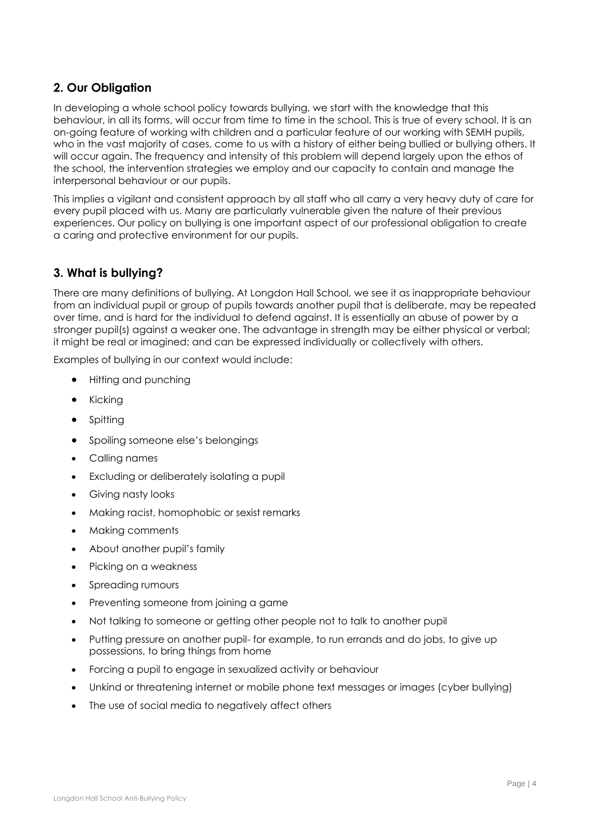# <span id="page-3-0"></span>**2. Our Obligation**

In developing a whole school policy towards bullying, we start with the knowledge that this behaviour, in all its forms, will occur from time to time in the school. This is true of every school. It is an on-going feature of working with children and a particular feature of our working with SEMH pupils, who in the vast majority of cases, come to us with a history of either being bullied or bullying others. It will occur again. The frequency and intensity of this problem will depend largely upon the ethos of the school, the intervention strategies we employ and our capacity to contain and manage the interpersonal behaviour or our pupils.

This implies a vigilant and consistent approach by all staff who all carry a very heavy duty of care for every pupil placed with us. Many are particularly vulnerable given the nature of their previous experiences. Our policy on bullying is one important aspect of our professional obligation to create a caring and protective environment for our pupils.

# <span id="page-3-1"></span>**3. What is bullying?**

There are many definitions of bullying. At Longdon Hall School, we see it as inappropriate behaviour from an individual pupil or group of pupils towards another pupil that is deliberate, may be repeated over time, and is hard for the individual to defend against. It is essentially an abuse of power by a stronger pupil(s) against a weaker one. The advantage in strength may be either physical or verbal; it might be real or imagined; and can be expressed individually or collectively with others.

Examples of bullying in our context would include:

- Hitting and punching
- Kicking
- Spitting
- Spoiling someone else's belongings
- Calling names
- Excluding or deliberately isolating a pupil
- Giving nasty looks
- Making racist, homophobic or sexist remarks
- Making comments
- About another pupil's family
- Picking on a weakness
- Spreading rumours
- Preventing someone from joining a game
- Not talking to someone or getting other people not to talk to another pupil
- Putting pressure on another pupil- for example, to run errands and do jobs, to give up possessions, to bring things from home
- Forcing a pupil to engage in sexualized activity or behaviour
- Unkind or threatening internet or mobile phone text messages or images (cyber bullying)
- The use of social media to negatively affect others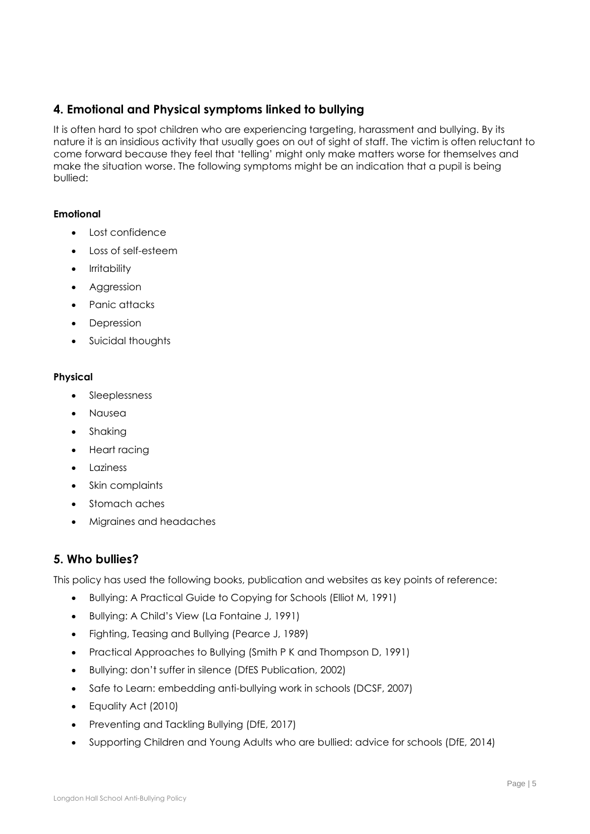# <span id="page-4-0"></span>**4. Emotional and Physical symptoms linked to bullying**

It is often hard to spot children who are experiencing targeting, harassment and bullying. By its nature it is an insidious activity that usually goes on out of sight of staff. The victim is often reluctant to come forward because they feel that 'telling' might only make matters worse for themselves and make the situation worse. The following symptoms might be an indication that a pupil is being bullied:

#### **Emotional**

- Lost confidence
- Loss of self-esteem
- Irritability
- Aggression
- Panic attacks
- Depression
- Suicidal thoughts

#### **Physical**

- Sleeplessness
- Nausea
- Shaking
- Heart racing
- Laziness
- Skin complaints
- Stomach aches
- Migraines and headaches

#### <span id="page-4-1"></span>**5. Who bullies?**

This policy has used the following books, publication and websites as key points of reference:

- Bullying: A Practical Guide to Copying for Schools (Elliot M, 1991)
- Bullying: A Child's View (La Fontaine J, 1991)
- Fighting, Teasing and Bullying (Pearce J, 1989)
- Practical Approaches to Bullying (Smith P K and Thompson D, 1991)
- Bullying: don't suffer in silence (DfES Publication, 2002)
- Safe to Learn: embedding anti-bullying work in schools (DCSF, 2007)
- Equality Act (2010)
- Preventing and Tackling Bullying (DfE, 2017)
- Supporting Children and Young Adults who are bullied: advice for schools (DfE, 2014)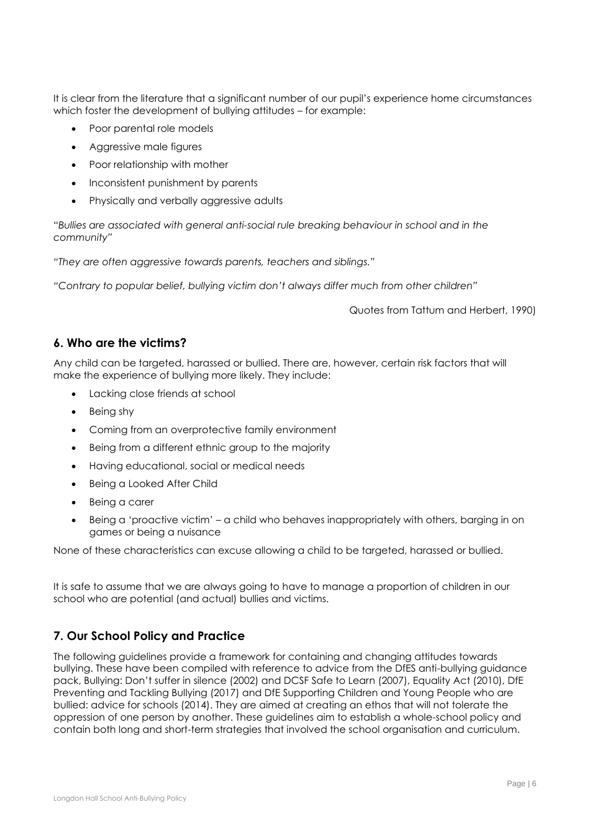It is clear from the literature that a significant number of our pupil's experience home circumstances which foster the development of bullying attitudes – for example:

- Poor parental role models
- Aggressive male figures
- Poor relationship with mother
- Inconsistent punishment by parents
- Physically and verbally aggressive adults

"*Bullies are associated with general anti-social rule breaking behaviour in school and in the community"*

*"They are often aggressive towards parents, teachers and siblings."*

*"Contrary to popular belief, bullying victim don't always differ much from other children"*

Quotes from Tattum and Herbert, 1990)

#### <span id="page-5-0"></span>**6. Who are the victims?**

Any child can be targeted, harassed or bullied. There are, however, certain risk factors that will make the experience of bullying more likely. They include:

- Lacking close friends at school
- Being shy
- Coming from an overprotective family environment
- Being from a different ethnic group to the majority
- Having educational, social or medical needs
- Being a Looked After Child
- Being a carer
- Being a 'proactive victim' a child who behaves inappropriately with others, barging in on games or being a nuisance

None of these characteristics can excuse allowing a child to be targeted, harassed or bullied.

It is safe to assume that we are always going to have to manage a proportion of children in our school who are potential (and actual) bullies and victims.

#### <span id="page-5-1"></span>**7. Our School Policy and Practice**

The following guidelines provide a framework for containing and changing attitudes towards bullying. These have been compiled with reference to advice from the DfES anti-bullying guidance pack, Bullying: Don't suffer in silence (2002) and DCSF Safe to Learn (2007), Equality Act (2010), DfE Preventing and Tackling Bullying (2017) and DfE Supporting Children and Young People who are bullied: advice for schools (2014). They are aimed at creating an ethos that will not tolerate the oppression of one person by another. These guidelines aim to establish a whole-school policy and contain both long and short-term strategies that involved the school organisation and curriculum.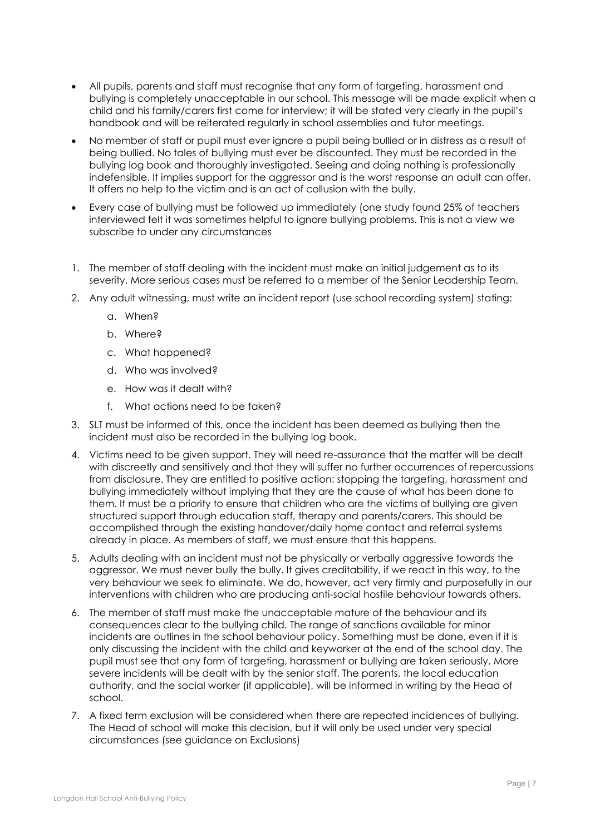- All pupils, parents and staff must recognise that any form of targeting, harassment and bullying is completely unacceptable in our school. This message will be made explicit when a child and his family/carers first come for interview; it will be stated very clearly in the pupil's handbook and will be reiterated regularly in school assemblies and tutor meetings.
- No member of staff or pupil must ever ignore a pupil being bullied or in distress as a result of being bullied. No tales of bullying must ever be discounted. They must be recorded in the bullying log book and thoroughly investigated. Seeing and doing nothing is professionally indefensible. It implies support for the aggressor and is the worst response an adult can offer. It offers no help to the victim and is an act of collusion with the bully.
- Every case of bullying must be followed up immediately (one study found 25% of teachers interviewed felt it was sometimes helpful to ignore bullying problems. This is not a view we subscribe to under any circumstances
- 1. The member of staff dealing with the incident must make an initial judgement as to its severity. More serious cases must be referred to a member of the Senior Leadership Team.
- 2. Any adult witnessing, must write an incident report (use school recording system) stating:
	- a. When?
	- b. Where?
	- c. What happened?
	- d. Who was involved?
	- e. How was it dealt with?
	- f. What actions need to be taken?
- 3. SLT must be informed of this, once the incident has been deemed as bullying then the incident must also be recorded in the bullying log book.
- 4. Victims need to be given support. They will need re-assurance that the matter will be dealt with discreetly and sensitively and that they will suffer no further occurrences of repercussions from disclosure. They are entitled to positive action: stopping the targeting, harassment and bullying immediately without implying that they are the cause of what has been done to them. It must be a priority to ensure that children who are the victims of bullying are given structured support through education staff, therapy and parents/carers. This should be accomplished through the existing handover/daily home contact and referral systems already in place. As members of staff, we must ensure that this happens.
- 5. Adults dealing with an incident must not be physically or verbally aggressive towards the aggressor. We must never bully the bully. It gives creditability, if we react in this way, to the very behaviour we seek to eliminate. We do, however, act very firmly and purposefully in our interventions with children who are producing anti-social hostile behaviour towards others.
- 6. The member of staff must make the unacceptable mature of the behaviour and its consequences clear to the bullying child. The range of sanctions available for minor incidents are outlines in the school behaviour policy. Something must be done, even if it is only discussing the incident with the child and keyworker at the end of the school day. The pupil must see that any form of targeting, harassment or bullying are taken seriously. More severe incidents will be dealt with by the senior staff. The parents, the local education authority, and the social worker (if applicable), will be informed in writing by the Head of school.
- 7. A fixed term exclusion will be considered when there are repeated incidences of bullying. The Head of school will make this decision, but it will only be used under very special circumstances (see guidance on Exclusions)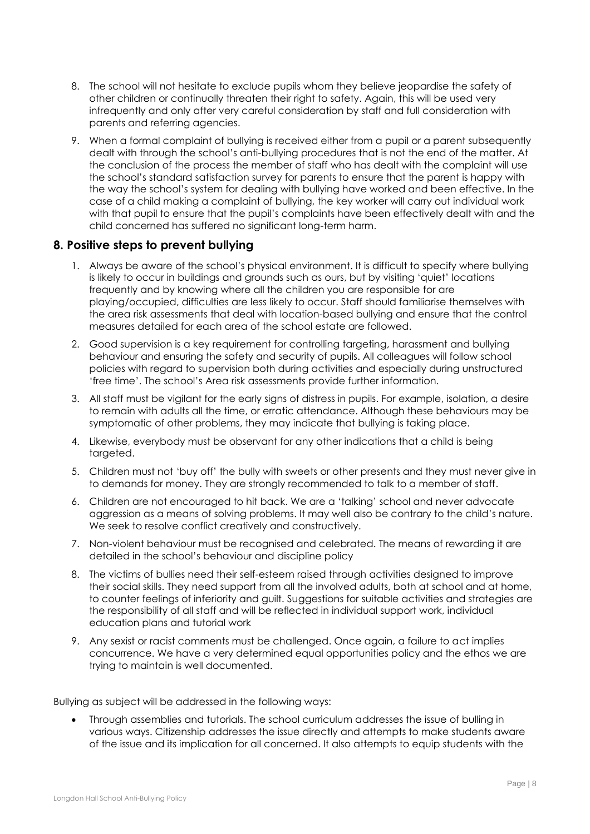- 8. The school will not hesitate to exclude pupils whom they believe jeopardise the safety of other children or continually threaten their right to safety. Again, this will be used very infrequently and only after very careful consideration by staff and full consideration with parents and referring agencies.
- 9. When a formal complaint of bullying is received either from a pupil or a parent subsequently dealt with through the school's anti-bullying procedures that is not the end of the matter. At the conclusion of the process the member of staff who has dealt with the complaint will use the school's standard satisfaction survey for parents to ensure that the parent is happy with the way the school's system for dealing with bullying have worked and been effective. In the case of a child making a complaint of bullying, the key worker will carry out individual work with that pupil to ensure that the pupil's complaints have been effectively dealt with and the child concerned has suffered no significant long-term harm.

#### <span id="page-7-0"></span>**8. Positive steps to prevent bullying**

- 1. Always be aware of the school's physical environment. It is difficult to specify where bullying is likely to occur in buildings and grounds such as ours, but by visiting 'quiet' locations frequently and by knowing where all the children you are responsible for are playing/occupied, difficulties are less likely to occur. Staff should familiarise themselves with the area risk assessments that deal with location-based bullying and ensure that the control measures detailed for each area of the school estate are followed.
- 2. Good supervision is a key requirement for controlling targeting, harassment and bullying behaviour and ensuring the safety and security of pupils. All colleagues will follow school policies with regard to supervision both during activities and especially during unstructured 'free time'. The school's Area risk assessments provide further information.
- 3. All staff must be vigilant for the early signs of distress in pupils. For example, isolation, a desire to remain with adults all the time, or erratic attendance. Although these behaviours may be symptomatic of other problems, they may indicate that bullying is taking place.
- 4. Likewise, everybody must be observant for any other indications that a child is being targeted.
- 5. Children must not 'buy off' the bully with sweets or other presents and they must never give in to demands for money. They are strongly recommended to talk to a member of staff.
- 6. Children are not encouraged to hit back. We are a 'talking' school and never advocate aggression as a means of solving problems. It may well also be contrary to the child's nature. We seek to resolve conflict creatively and constructively.
- 7. Non-violent behaviour must be recognised and celebrated. The means of rewarding it are detailed in the school's behaviour and discipline policy
- 8. The victims of bullies need their self-esteem raised through activities designed to improve their social skills. They need support from all the involved adults, both at school and at home, to counter feelings of inferiority and guilt. Suggestions for suitable activities and strategies are the responsibility of all staff and will be reflected in individual support work, individual education plans and tutorial work
- 9. Any sexist or racist comments must be challenged. Once again, a failure to act implies concurrence. We have a very determined equal opportunities policy and the ethos we are trying to maintain is well documented.

Bullying as subject will be addressed in the following ways:

• Through assemblies and tutorials. The school curriculum addresses the issue of bulling in various ways. Citizenship addresses the issue directly and attempts to make students aware of the issue and its implication for all concerned. It also attempts to equip students with the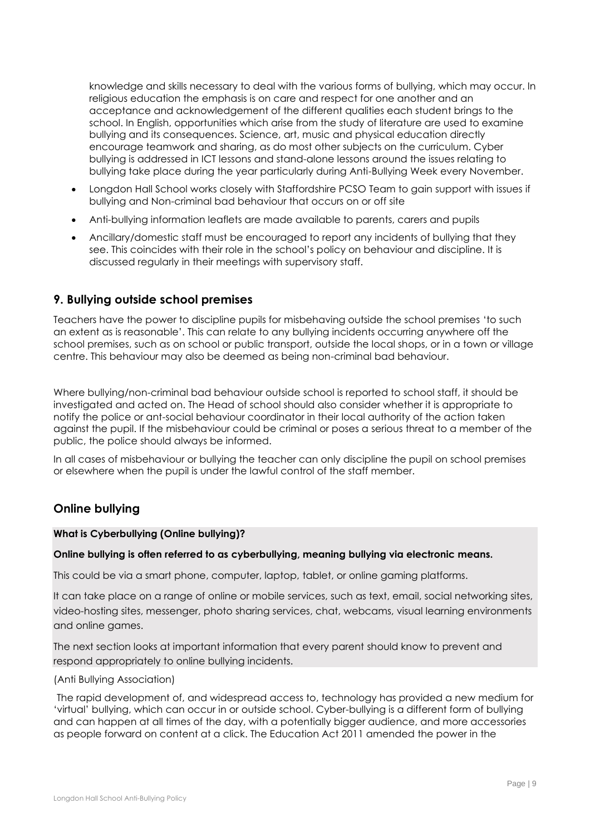knowledge and skills necessary to deal with the various forms of bullying, which may occur. In religious education the emphasis is on care and respect for one another and an acceptance and acknowledgement of the different qualities each student brings to the school. In English, opportunities which arise from the study of literature are used to examine bullying and its consequences. Science, art, music and physical education directly encourage teamwork and sharing, as do most other subjects on the curriculum. Cyber bullying is addressed in ICT lessons and stand-alone lessons around the issues relating to bullying take place during the year particularly during Anti-Bullying Week every November.

- Longdon Hall School works closely with Staffordshire PCSO Team to gain support with issues if bullying and Non-criminal bad behaviour that occurs on or off site
- Anti-bullying information leaflets are made available to parents, carers and pupils
- Ancillary/domestic staff must be encouraged to report any incidents of bullying that they see. This coincides with their role in the school's policy on behaviour and discipline. It is discussed regularly in their meetings with supervisory staff.

### <span id="page-8-0"></span>**9. Bullying outside school premises**

Teachers have the power to discipline pupils for misbehaving outside the school premises 'to such an extent as is reasonable'. This can relate to any bullying incidents occurring anywhere off the school premises, such as on school or public transport, outside the local shops, or in a town or village centre. This behaviour may also be deemed as being non-criminal bad behaviour.

Where bullying/non-criminal bad behaviour outside school is reported to school staff, it should be investigated and acted on. The Head of school should also consider whether it is appropriate to notify the police or ant-social behaviour coordinator in their local authority of the action taken against the pupil. If the misbehaviour could be criminal or poses a serious threat to a member of the public, the police should always be informed.

In all cases of misbehaviour or bullying the teacher can only discipline the pupil on school premises or elsewhere when the pupil is under the lawful control of the staff member.

# **Online bullying**

#### **What is Cyberbullying (Online bullying)?**

#### **Online bullying is often referred to as cyberbullying, meaning bullying via electronic means.**

This could be via a smart phone, computer, laptop, tablet, or online gaming platforms.

It can take place on a range of online or mobile services, such as text, email, social networking sites, video-hosting sites, messenger, photo sharing services, chat, webcams, visual learning environments and online games.

The next section looks at important information that every parent should know to prevent and respond appropriately to online bullying incidents.

#### (Anti Bullying Association)

The rapid development of, and widespread access to, technology has provided a new medium for 'virtual' bullying, which can occur in or outside school. Cyber-bullying is a different form of bullying and can happen at all times of the day, with a potentially bigger audience, and more accessories as people forward on content at a click. The Education Act 2011 amended the power in the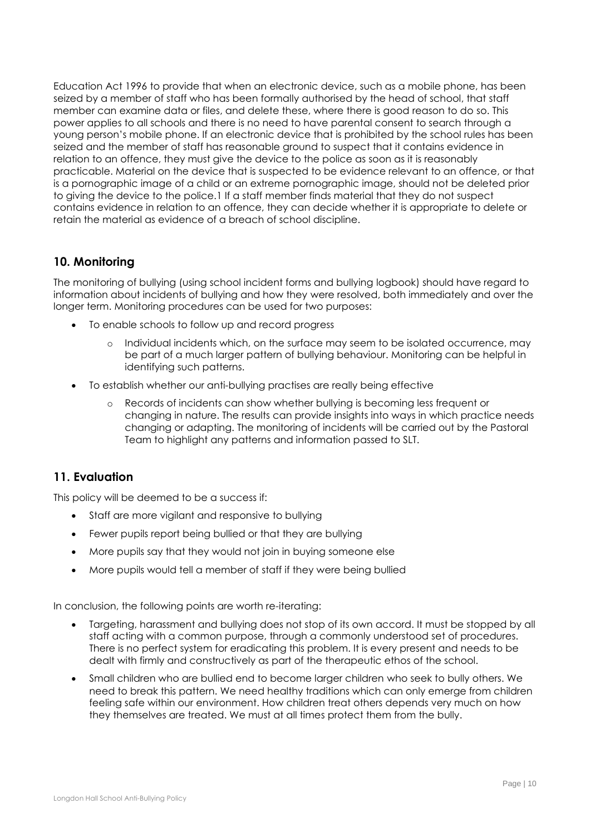Education Act 1996 to provide that when an electronic device, such as a mobile phone, has been seized by a member of staff who has been formally authorised by the head of school, that staff member can examine data or files, and delete these, where there is good reason to do so. This power applies to all schools and there is no need to have parental consent to search through a young person's mobile phone. If an electronic device that is prohibited by the school rules has been seized and the member of staff has reasonable ground to suspect that it contains evidence in relation to an offence, they must give the device to the police as soon as it is reasonably practicable. Material on the device that is suspected to be evidence relevant to an offence, or that is a pornographic image of a child or an extreme pornographic image, should not be deleted prior to giving the device to the police.1 If a staff member finds material that they do not suspect contains evidence in relation to an offence, they can decide whether it is appropriate to delete or retain the material as evidence of a breach of school discipline.

### <span id="page-9-0"></span>**10. Monitoring**

The monitoring of bullying (using school incident forms and bullying logbook) should have regard to information about incidents of bullying and how they were resolved, both immediately and over the longer term. Monitoring procedures can be used for two purposes:

- To enable schools to follow up and record progress
	- o Individual incidents which, on the surface may seem to be isolated occurrence, may be part of a much larger pattern of bullying behaviour. Monitoring can be helpful in identifying such patterns.
- To establish whether our anti-bullying practises are really being effective
	- o Records of incidents can show whether bullying is becoming less frequent or changing in nature. The results can provide insights into ways in which practice needs changing or adapting. The monitoring of incidents will be carried out by the Pastoral Team to highlight any patterns and information passed to SLT.

#### <span id="page-9-1"></span>**11. Evaluation**

This policy will be deemed to be a success if:

- Staff are more vigilant and responsive to bullying
- Fewer pupils report being bullied or that they are bullying
- More pupils say that they would not join in buying someone else
- More pupils would tell a member of staff if they were being bullied

In conclusion, the following points are worth re-iterating:

- Targeting, harassment and bullying does not stop of its own accord. It must be stopped by all staff acting with a common purpose, through a commonly understood set of procedures. There is no perfect system for eradicating this problem. It is every present and needs to be dealt with firmly and constructively as part of the therapeutic ethos of the school.
- Small children who are bullied end to become larger children who seek to bully others. We need to break this pattern. We need healthy traditions which can only emerge from children feeling safe within our environment. How children treat others depends very much on how they themselves are treated. We must at all times protect them from the bully.